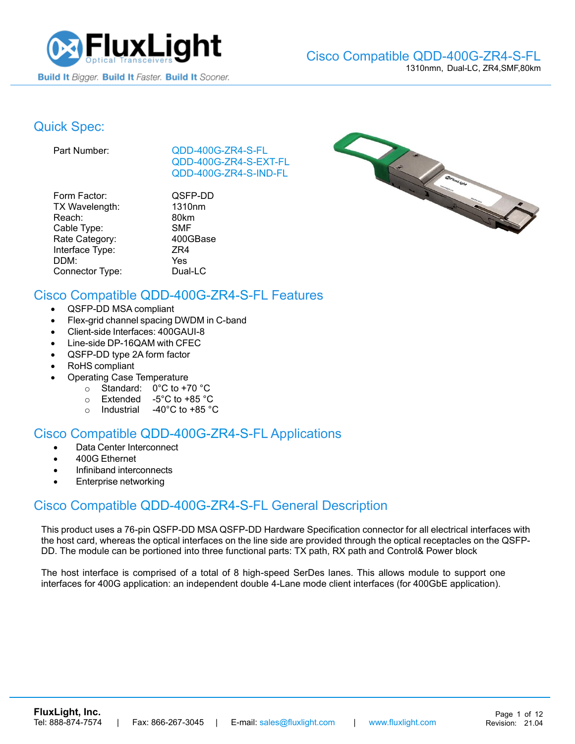

### Quick Spec:

Part Number: [QDD-400G-ZR4-S-](https://www.fluxlight.com/QDD-400G-ZR4-S-FL/)FL [QDD-400G-ZR4-S-](https://www.fluxlight.com/QDD-400G-ZR4-S-FL/)EXT-FL [QDD-400G-ZR4-S-](https://www.fluxlight.com/QDD-400G-ZR4-S-FL/)IND-FL

| Form Factor:    | QSFP-DD    |
|-----------------|------------|
| TX Wavelength:  | 1310nm     |
| Reach:          | 80km       |
| Cable Type:     | <b>SMF</b> |
| Rate Category:  | 400GBase   |
| Interface Type: | ZR4        |
| DDM:            | Yes        |
| Connector Type: | Dual-LC    |

P-DD



### Cisco Compatible [QDD-400G-ZR4-S-](https://www.fluxlight.com/QDD-400G-ZR4-S-FL/)FL Features

- QSFP-DD MSA compliant
- Flex-grid channel spacing DWDM in C-band
- Client-side Interfaces: 400GAUI-8
- Line-side DP-16QAM with CFEC
- QSFP-DD type 2A form factor
- RoHS compliant
- Operating Case Temperature
	- o Standard: 0°C to +70 °C
	- o Extended -5°C to +85 °C
	- o Industrial -40°C to +85 °C

### Cisco Compatible [QDD-400G-ZR4-S-](https://www.fluxlight.com/QDD-400G-ZR4-S-FL/)FL Applications

- Data Center Interconnect
- 400G Ethernet
- Infiniband interconnects
- Enterprise networking

### Cisco Compatible [QDD-400G-ZR4-S-](https://www.fluxlight.com/QDD-400G-ZR4-S-FL/)FL General Description

This product uses a 76-pin QSFP-DD MSA QSFP-DD Hardware Specification connector for all electrical interfaces with the host card, whereas the optical interfaces on the line side are provided through the optical receptacles on the QSFP-DD. The module can be portioned into three functional parts: TX path, RX path and Control& Power block

The host interface is comprised of a total of 8 high-speed SerDes lanes. This allows module to support one interfaces for 400G application: an independent double 4-Lane mode client interfaces (for 400GbE application).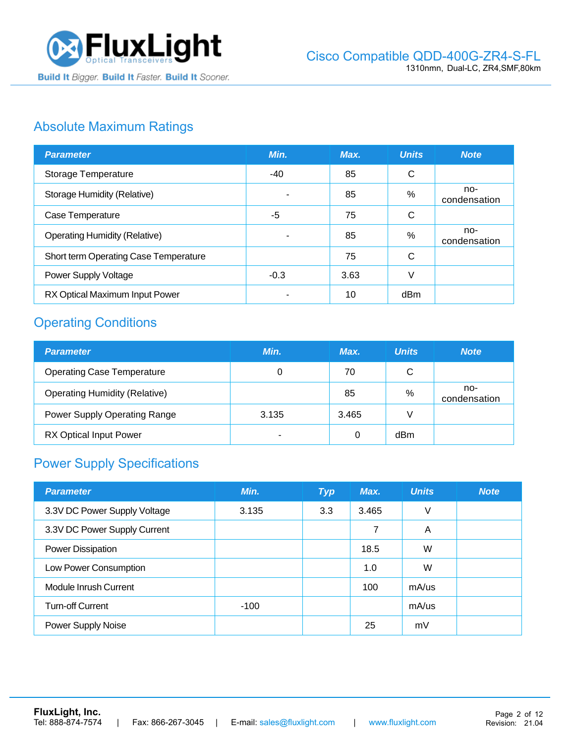

### Absolute Maximum Ratings

| <b>Parameter</b>                      | Min.   | Max. | <b>Units</b> | <b>Note</b>         |
|---------------------------------------|--------|------|--------------|---------------------|
| Storage Temperature                   | -40    | 85   | $\mathsf{C}$ |                     |
| <b>Storage Humidity (Relative)</b>    |        | 85   | %            | no-<br>condensation |
| Case Temperature                      | -5     | 75   | C            |                     |
| <b>Operating Humidity (Relative)</b>  | ۰      | 85   | %            | no-<br>condensation |
| Short term Operating Case Temperature |        | 75   | C            |                     |
| Power Supply Voltage                  | $-0.3$ | 3.63 | V            |                     |
| RX Optical Maximum Input Power        | ۰      | 10   | dBm          |                     |

# Operating Conditions

| <b>Parameter</b>                     | Min.  | Max.  | <b>Units</b> | <b>Note</b>         |
|--------------------------------------|-------|-------|--------------|---------------------|
| <b>Operating Case Temperature</b>    | 0     | 70    | C            |                     |
| <b>Operating Humidity (Relative)</b> |       | 85    | $\%$         | no-<br>condensation |
| <b>Power Supply Operating Range</b>  | 3.135 | 3.465 |              |                     |
| <b>RX Optical Input Power</b>        |       | 0     | dBm          |                     |

# Power Supply Specifications

| <b>Parameter</b>             | Min.   | <b>Typ</b> | Max.  | <b>Units</b> | <b>Note</b> |
|------------------------------|--------|------------|-------|--------------|-------------|
| 3.3V DC Power Supply Voltage | 3.135  | 3.3        | 3.465 | V            |             |
| 3.3V DC Power Supply Current |        |            | 7     | A            |             |
| Power Dissipation            |        |            | 18.5  | W            |             |
| Low Power Consumption        |        |            | 1.0   | W            |             |
| Module Inrush Current        |        |            | 100   | $mA$ /us     |             |
| <b>Turn-off Current</b>      | $-100$ |            |       | $mA$ /us     |             |
| Power Supply Noise           |        |            | 25    | mV           |             |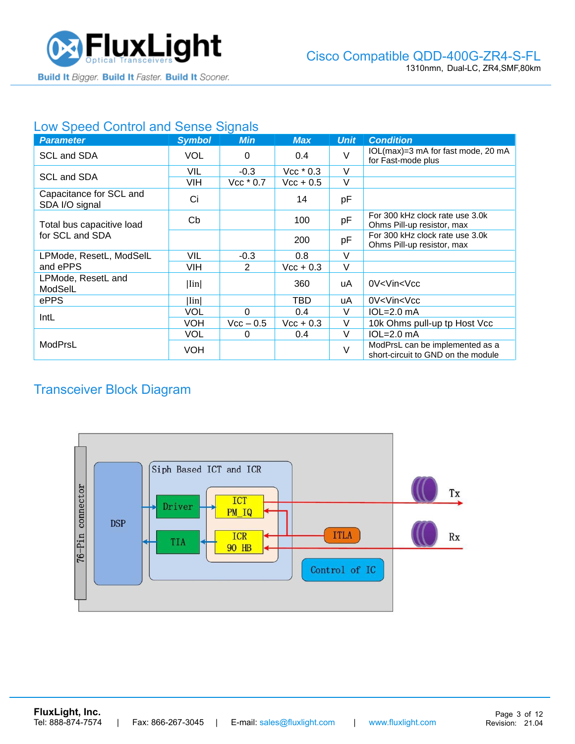

#### Low Speed Control and Sense Signals

| <b>Parameter</b>                          | <b>Symbol</b> | <b>Min</b>  | <b>Max</b>         | <b>Unit</b> | <b>Condition</b>                                                      |
|-------------------------------------------|---------------|-------------|--------------------|-------------|-----------------------------------------------------------------------|
| SCL and SDA                               | <b>VOL</b>    | 0           | 0.4                | $\vee$      | IOL(max)=3 mA for fast mode, 20 mA<br>for Fast-mode plus              |
| SCL and SDA                               | VIL           | $-0.3$      | $Vec*0.3$          | $\vee$      |                                                                       |
|                                           | VIH           | $Vec*0.7$   | $\text{Vcc} + 0.5$ | V           |                                                                       |
| Capacitance for SCL and<br>SDA I/O signal | Ci            |             | 14                 | pF          |                                                                       |
| Total bus capacitive load                 | Cb            |             | 100                | pF          | For 300 kHz clock rate use 3.0k<br>Ohms Pill-up resistor, max         |
| for SCL and SDA                           |               |             | 200                | pF          | For 300 kHz clock rate use 3.0k<br>Ohms Pill-up resistor, max         |
| LPMode, ResetL, ModSelL                   | VIL           | $-0.3$      | 0.8                | $\vee$      |                                                                       |
| and ePPS                                  | VIH           | 2           | $Vcc + 0.3$        | V           |                                                                       |
| LPMode, ResetL and<br>ModSelL             | Iin           |             | 360                | uA          | 0V <vin<vcc< td=""></vin<vcc<>                                        |
| ePPS                                      | Iin           |             | TBD                | uA          | 0V <vin<vcc< td=""></vin<vcc<>                                        |
| IntL                                      | VOL           | $\Omega$    | 0.4                | V           | $IOL=2.0mA$                                                           |
|                                           | VOH           | $Vec - 0.5$ | $Vec + 0.3$        | V           | 10k Ohms pull-up tp Host Vcc                                          |
|                                           | VOL           | 0           | 0.4                | V           | $IOL=2.0mA$                                                           |
| ModPrsL                                   | VOH           |             |                    | $\vee$      | ModPrsL can be implemented as a<br>short-circuit to GND on the module |

# Transceiver Block Diagram

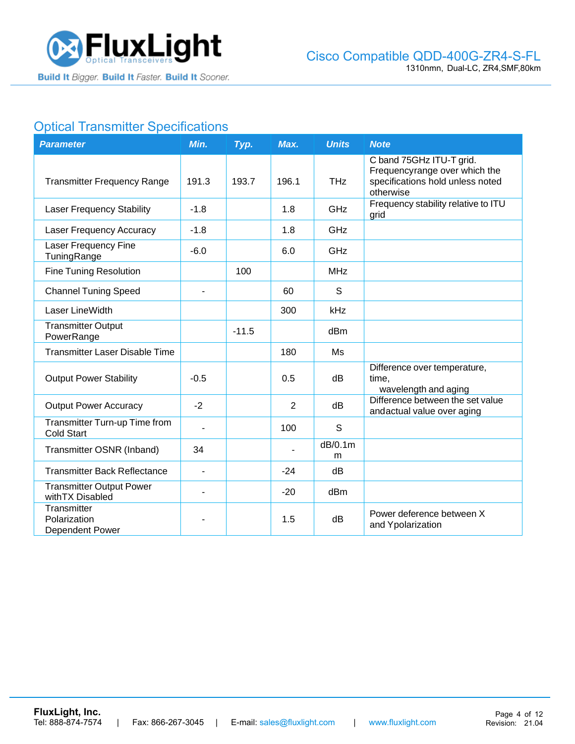

# **Optical Transmitter Specifications**

| <b>Parameter</b>                                    | Min.           | Typ.    | Max.           | <b>Units</b>    | <b>Note</b>                                                                                                |
|-----------------------------------------------------|----------------|---------|----------------|-----------------|------------------------------------------------------------------------------------------------------------|
| <b>Transmitter Frequency Range</b>                  | 191.3          | 193.7   | 196.1          | <b>THz</b>      | C band 75GHz ITU-T grid.<br>Frequencyrange over which the<br>specifications hold unless noted<br>otherwise |
| <b>Laser Frequency Stability</b>                    | $-1.8$         |         | 1.8            | GHz             | Frequency stability relative to ITU<br>grid                                                                |
| <b>Laser Frequency Accuracy</b>                     | $-1.8$         |         | 1.8            | GHz             |                                                                                                            |
| Laser Frequency Fine<br>TuningRange                 | $-6.0$         |         | 6.0            | GHz             |                                                                                                            |
| <b>Fine Tuning Resolution</b>                       |                | 100     |                | <b>MHz</b>      |                                                                                                            |
| <b>Channel Tuning Speed</b>                         |                |         | 60             | S               |                                                                                                            |
| Laser LineWidth                                     |                |         | 300            | kHz             |                                                                                                            |
| <b>Transmitter Output</b><br>PowerRange             |                | $-11.5$ |                | dBm             |                                                                                                            |
| <b>Transmitter Laser Disable Time</b>               |                |         | 180            | Ms              |                                                                                                            |
| <b>Output Power Stability</b>                       | $-0.5$         |         | 0.5            | dB              | Difference over temperature,<br>time,<br>wavelength and aging                                              |
| <b>Output Power Accuracy</b>                        | $-2$           |         | $\overline{2}$ | dB              | Difference between the set value<br>andactual value over aging                                             |
| Transmitter Turn-up Time from<br><b>Cold Start</b>  | $\blacksquare$ |         | 100            | S               |                                                                                                            |
| Transmitter OSNR (Inband)                           | 34             |         |                | dB/0.1m<br>m    |                                                                                                            |
| <b>Transmitter Back Reflectance</b>                 | $\blacksquare$ |         | $-24$          | dB              |                                                                                                            |
| <b>Transmitter Output Power</b><br>with TX Disabled |                |         | $-20$          | dB <sub>m</sub> |                                                                                                            |
| Transmitter<br>Polarization<br>Dependent Power      |                |         | 1.5            | dB              | Power deference between X<br>and Ypolarization                                                             |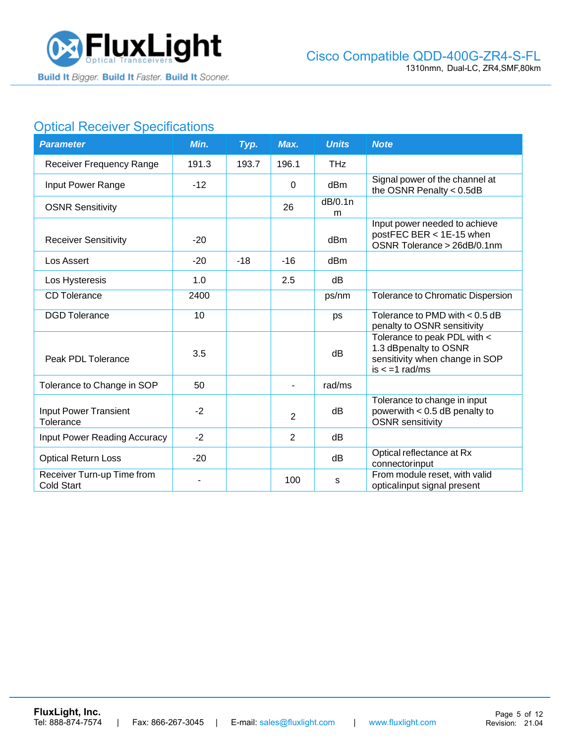

# **Optical Receiver Specifications**

| <b>Parameter</b>                                | Min.  | Typ.  | Max.           | <b>Units</b> | <b>Note</b>                                                                                                 |
|-------------------------------------------------|-------|-------|----------------|--------------|-------------------------------------------------------------------------------------------------------------|
| <b>Receiver Frequency Range</b>                 | 191.3 | 193.7 | 196.1          | <b>THz</b>   |                                                                                                             |
| Input Power Range                               | $-12$ |       | $\Omega$       | dBm          | Signal power of the channel at<br>the OSNR Penalty $< 0.5$ dB                                               |
| <b>OSNR Sensitivity</b>                         |       |       | 26             | dB/0.1n<br>m |                                                                                                             |
| <b>Receiver Sensitivity</b>                     | $-20$ |       |                | dBm          | Input power needed to achieve<br>postFEC BER < 1E-15 when<br>OSNR Tolerance > 26dB/0.1nm                    |
| Los Assert                                      | $-20$ | $-18$ | $-16$          | dBm          |                                                                                                             |
| Los Hysteresis                                  | 1.0   |       | 2.5            | dB           |                                                                                                             |
| <b>CD</b> Tolerance                             | 2400  |       |                | ps/nm        | Tolerance to Chromatic Dispersion                                                                           |
| <b>DGD</b> Tolerance                            | 10    |       |                | ps           | Tolerance to PMD with $< 0.5$ dB<br>penalty to OSNR sensitivity                                             |
| Peak PDL Tolerance                              | 3.5   |       |                | dB           | Tolerance to peak PDL with <<br>1.3 dBpenalty to OSNR<br>sensitivity when change in SOP<br>$is < -1$ rad/ms |
| Tolerance to Change in SOP                      | 50    |       |                | rad/ms       |                                                                                                             |
| Input Power Transient<br>Tolerance              | $-2$  |       | $\overline{2}$ | dB           | Tolerance to change in input<br>powerwith $< 0.5$ dB penalty to<br><b>OSNR</b> sensitivity                  |
| <b>Input Power Reading Accuracy</b>             | $-2$  |       | $\overline{2}$ | dB           |                                                                                                             |
| <b>Optical Return Loss</b>                      | $-20$ |       |                | dB           | Optical reflectance at Rx<br>connectorinput                                                                 |
| Receiver Turn-up Time from<br><b>Cold Start</b> |       |       | 100            | s            | From module reset, with valid<br>opticalinput signal present                                                |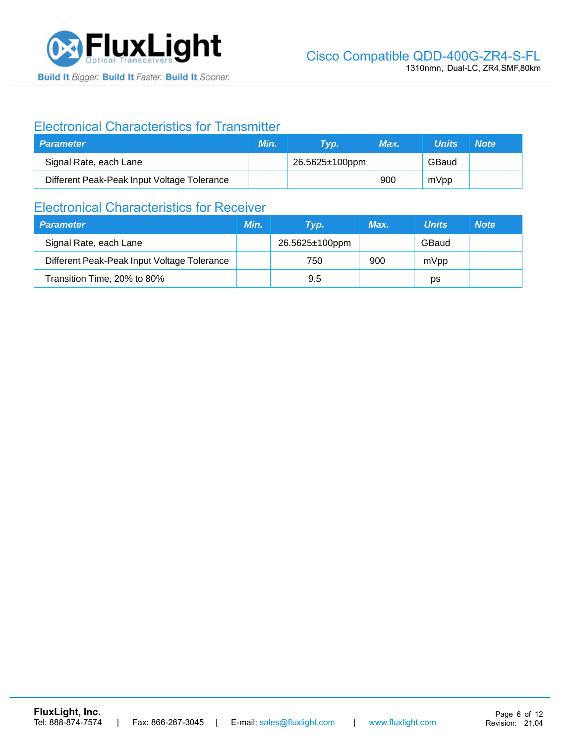

### Electronical Characteristics for Transmitter

| <b>Parameter</b>                            | Min. | Tvp.           | Max. | <b>Units</b> | <b>Note</b> |
|---------------------------------------------|------|----------------|------|--------------|-------------|
| Signal Rate, each Lane                      |      | 26.5625±100ppm |      | GBaud        |             |
| Different Peak-Peak Input Voltage Tolerance |      |                | 900  | mVpp         |             |

### Electronical Characteristics for Receiver

| <b>Parameter</b>                            | Min. | Tvp.           | Max. | <b>Units</b> | <b>Note</b> |
|---------------------------------------------|------|----------------|------|--------------|-------------|
| Signal Rate, each Lane                      |      | 26.5625±100ppm |      | GBaud        |             |
| Different Peak-Peak Input Voltage Tolerance |      | 750            | 900  | mVpp         |             |
| Transition Time, 20% to 80%                 |      | 9.5            |      | рs           |             |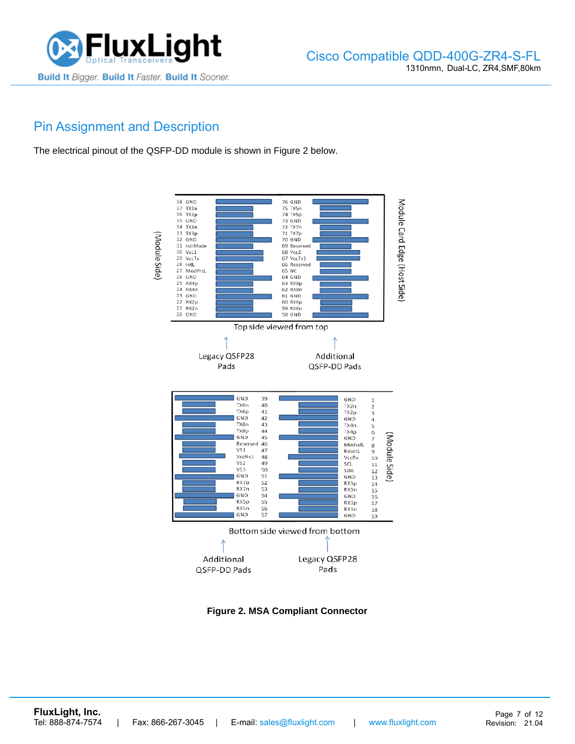

### Pin Assignment and Description

The electrical pinout of the QSFP-DD module is shown in Figure 2 below.



**Figure 2. MSA Compliant Connector**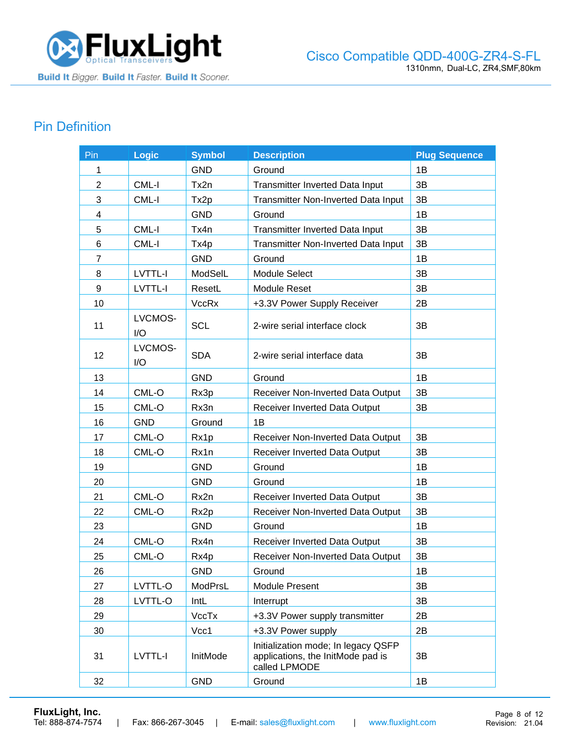

## Pin Definition

| Pin            | <b>Logic</b>   | <b>Symbol</b>    | <b>Description</b>                                                                        | <b>Plug Sequence</b> |
|----------------|----------------|------------------|-------------------------------------------------------------------------------------------|----------------------|
| 1              |                | <b>GND</b>       | Ground                                                                                    | 1B                   |
| $\overline{2}$ | CML-I          | Tx2n             | Transmitter Inverted Data Input                                                           | 3B                   |
| 3              | CML-I          | Tx2p             | Transmitter Non-Inverted Data Input                                                       | 3B                   |
| 4              |                | <b>GND</b>       | Ground                                                                                    | 1B                   |
| 5              | CML-I          | Tx4n             | Transmitter Inverted Data Input                                                           | 3B                   |
| 6              | CML-I          | Tx4p             | Transmitter Non-Inverted Data Input                                                       | 3B                   |
| $\overline{7}$ |                | <b>GND</b>       | Ground                                                                                    | 1B                   |
| 8              | <b>LVTTL-I</b> | ModSelL          | Module Select                                                                             | 3B                   |
| 9              | LVTTL-I        | ResetL           | <b>Module Reset</b>                                                                       | 3B                   |
| 10             |                | <b>VccRx</b>     | +3.3V Power Supply Receiver                                                               | 2B                   |
| 11             | LVCMOS-<br>I/O | <b>SCL</b>       | 2-wire serial interface clock                                                             | 3B                   |
| 12             | LVCMOS-<br>I/O | <b>SDA</b>       | 2-wire serial interface data                                                              | 3B                   |
| 13             |                | <b>GND</b>       | Ground                                                                                    | 1B                   |
| 14             | CML-O          | Rx3p             | Receiver Non-Inverted Data Output                                                         | 3B                   |
| 15             | CML-O          | Rx3n             | <b>Receiver Inverted Data Output</b>                                                      | 3B                   |
| 16             | <b>GND</b>     | Ground           | 1B                                                                                        |                      |
| 17             | CML-O          | Rx1p             | Receiver Non-Inverted Data Output                                                         | 3B                   |
| 18             | CML-O          | Rx1n             | Receiver Inverted Data Output                                                             | 3B                   |
| 19             |                | <b>GND</b>       | Ground                                                                                    | 1B                   |
| 20             |                | <b>GND</b>       | Ground                                                                                    | 1B                   |
| 21             | CML-O          | Rx2n             | Receiver Inverted Data Output                                                             | 3B                   |
| 22             | CML-O          | Rx <sub>2p</sub> | Receiver Non-Inverted Data Output                                                         | 3B                   |
| 23             |                | <b>GND</b>       | Ground                                                                                    | 1B                   |
| 24             | CML-O          | Rx4n             | Receiver Inverted Data Output                                                             | 3B                   |
| 25             | CML-O          | Rx4p             | Receiver Non-Inverted Data Output                                                         | 3B                   |
| 26             |                | <b>GND</b>       | Ground                                                                                    | 1В                   |
| 27             | LVTTL-O        | ModPrsL          | <b>Module Present</b>                                                                     | 3B                   |
| 28             | LVTTL-O        | IntL             | Interrupt                                                                                 | 3B                   |
| 29             |                | VccTx            | +3.3V Power supply transmitter                                                            | 2B                   |
| 30             |                | Vcc1             | +3.3V Power supply                                                                        | 2B                   |
| 31             | LVTTL-I        | InitMode         | Initialization mode; In legacy QSFP<br>applications, the InitMode pad is<br>called LPMODE | 3B                   |
| 32             |                | <b>GND</b>       | Ground                                                                                    | 1B                   |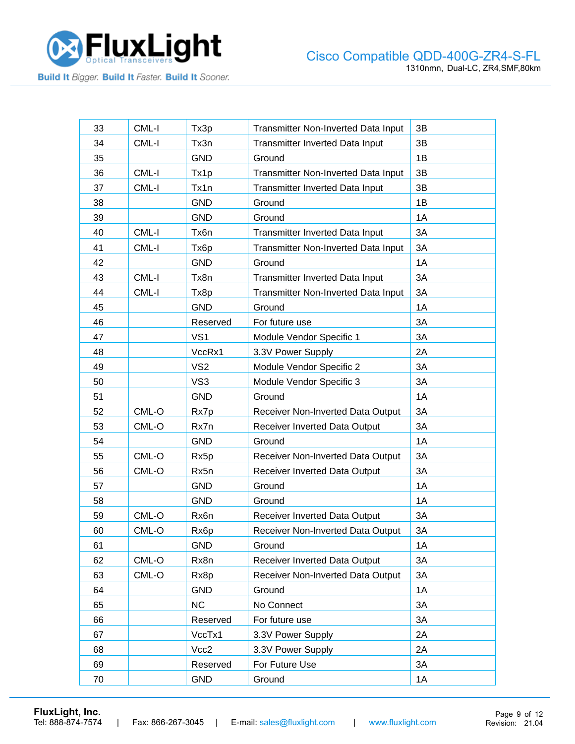

| 33     | CML-I   | Tx3p            | Transmitter Non-Inverted Data Input    | 3B |
|--------|---------|-----------------|----------------------------------------|----|
| 34     | CML-I   | Tx3n            | Transmitter Inverted Data Input        | 3B |
| 35     |         | <b>GND</b>      | Ground                                 | 1B |
| 36     | CML-I   | Tx1p            | Transmitter Non-Inverted Data Input    | 3B |
| 37     | CML-I   | Tx1n            | Transmitter Inverted Data Input        | 3B |
| 38     |         | <b>GND</b>      | Ground                                 | 1B |
| 39     |         | <b>GND</b>      | Ground                                 | 1A |
| 40     | CML-I   | Tx6n            | Transmitter Inverted Data Input        | 3A |
| 41     | CML-I   | Tx6p            | Transmitter Non-Inverted Data Input    | 3A |
| 42     |         | <b>GND</b>      | Ground                                 | 1A |
| 43     | CML-I   | Tx8n            | <b>Transmitter Inverted Data Input</b> | 3A |
| 44     | CML-I   | Tx8p            | Transmitter Non-Inverted Data Input    | 3A |
| 45     |         | <b>GND</b>      | Ground                                 | 1A |
| 46     |         | Reserved        | For future use                         | 3A |
| 47     |         | VS <sub>1</sub> | Module Vendor Specific 1               | 3A |
| 48     |         | VccRx1          | 3.3V Power Supply                      | 2A |
| 49     |         | VS <sub>2</sub> | Module Vendor Specific 2               | 3A |
| 50     |         | VS3             | Module Vendor Specific 3               | 3A |
| 51     |         | <b>GND</b>      | Ground                                 | 1A |
| 52     | CML-O   | Rx7p            | Receiver Non-Inverted Data Output      | 3A |
| 53     | CML-O   | Rx7n            | Receiver Inverted Data Output          | 3A |
| 54     |         | <b>GND</b>      | Ground                                 | 1A |
| 55     | CML-O   | Rx5p            | Receiver Non-Inverted Data Output      | 3A |
| 56     | CML-O   | Rx5n            | Receiver Inverted Data Output          | 3A |
| 57     |         | <b>GND</b>      | Ground                                 | 1A |
| 58     |         | <b>GND</b>      | Ground                                 | 1A |
| 59     | CML-O   | Rx6n            | Receiver Inverted Data Output          | 3A |
| 60     | CML-O   | Rx6p            | Receiver Non-Inverted Data Output      | 3A |
| 61     |         | <b>GND</b>      | Ground                                 | 1A |
| 62     | CML-O   | Rx8n            | Receiver Inverted Data Output          | 3A |
| 63     | $CML-O$ | Rx8p            | Receiver Non-Inverted Data Output      | 3A |
| 64     |         | <b>GND</b>      | Ground                                 | 1A |
| 65     |         | NC              | No Connect                             | 3A |
| 66     |         | Reserved        | For future use                         | 3A |
| 67     |         | VccTx1          | 3.3V Power Supply                      | 2A |
| 68     |         | Vcc2            | 3.3V Power Supply                      | 2A |
| 69     |         | Reserved        | For Future Use                         | 3A |
| $70\,$ |         | <b>GND</b>      | Ground                                 | 1A |

**[FluxLight, Inc.](https://www.fluxlight.com/)**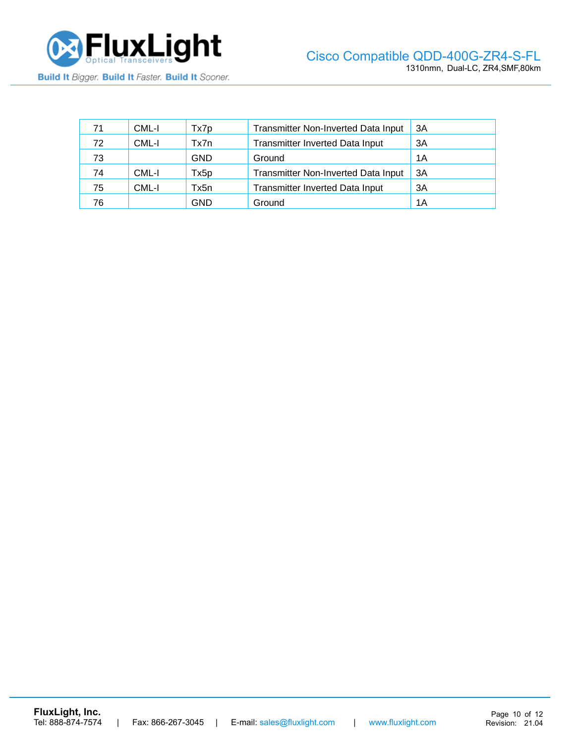

| 71 | CML-I | Tx7p       | <b>Transmitter Non-Inverted Data Input</b> | ЗΑ |
|----|-------|------------|--------------------------------------------|----|
| 72 | CML-I | Tx7n       | <b>Transmitter Inverted Data Input</b>     | 3A |
| 73 |       | <b>GND</b> | Ground                                     | 1Α |
| 74 | CML-I | Tx5p       | <b>Transmitter Non-Inverted Data Input</b> | ЗA |
| 75 | CML-I | Tx5n       | Transmitter Inverted Data Input            | ЗA |
| 76 |       | GND        | Ground                                     | 1Α |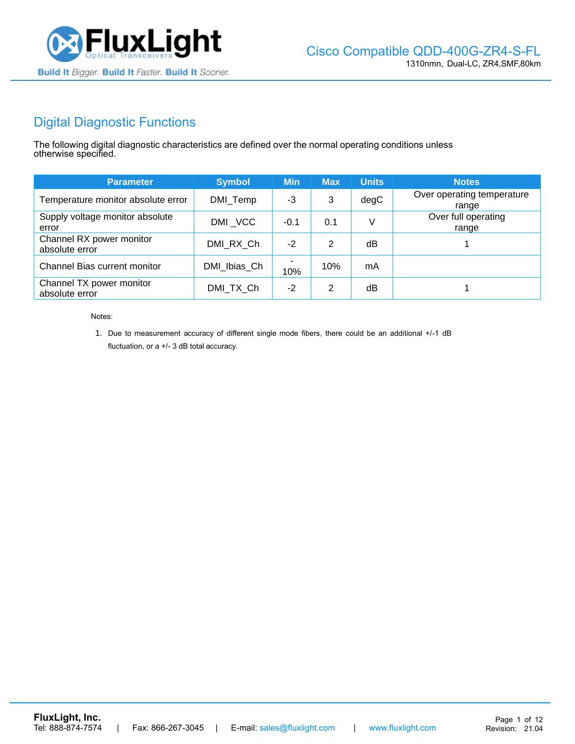

## Digital Diagnostic Functions

The following digital diagnostic characteristics are defined over the normal operating conditions unless otherwise specified.

| <b>Parameter</b>                           | <b>Symbol</b> | <b>Min</b> | <b>Max</b> | <b>Units</b> | <b>Notes</b>                        |
|--------------------------------------------|---------------|------------|------------|--------------|-------------------------------------|
| Temperature monitor absolute error         | DMI_Temp      | -3         | 3          | degC         | Over operating temperature<br>range |
| Supply voltage monitor absolute<br>error   | DMI VCC       | $-0.1$     | 0.1        | V            | Over full operating<br>range        |
| Channel RX power monitor<br>absolute error | DMI RX Ch     | $-2$       | 2          | dB           |                                     |
| Channel Bias current monitor               | DMI Ibias Ch  | 10%        | 10%        | mA           |                                     |
| Channel TX power monitor<br>absolute error | DMI TX Ch     | $-2$       | 2          | dB           |                                     |

Notes:

1. Due to measurement accuracy of different single mode fibers, there could be an additional +/-1 dB fluctuation, or a +/- 3 dB total accuracy.